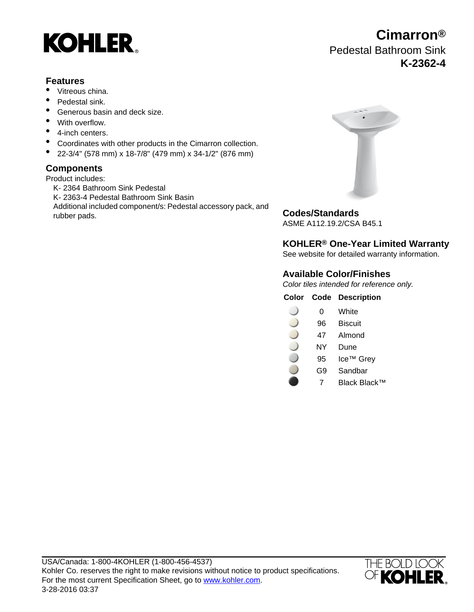

### **Features**

- Vitreous china.
- Pedestal sink.
- Generous basin and deck size.
- With overflow.
- 4-inch centers.
- Coordinates with other products in the Cimarron collection.
- 22-3/4" (578 mm) x 18-7/8" (479 mm) x 34-1/2" (876 mm)

### **Components**

Product includes:

K- 2364 Bathroom Sink Pedestal K- 2363-4 Pedestal Bathroom Sink Basin Additional included component/s: Pedestal accessory pack, and rubber pads.<br> **Codes/Standards** 



ASME A112.19.2/CSA B45.1

## **KOHLER® One-Year Limited Warranty**

See website for detailed warranty information.

### **Available Color/Finishes**

Color tiles intended for reference only.

|  |  | <b>Color Code Description</b> |
|--|--|-------------------------------|
|--|--|-------------------------------|

- 0 White
- 96 Biscuit
- 47 Almond
- NY Dune
- 95 Ice™ Grey
- G9 Sandbar
- 7 Black Black™



**Cimarron®** Pedestal Bathroom Sink **K-2362-4**